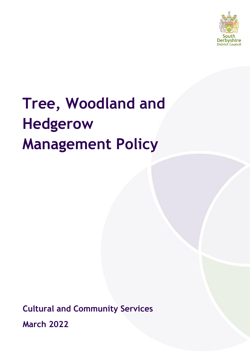

# **Tree, Woodland and Hedgerow Management Policy**

**Cultural and Community Services March 2022**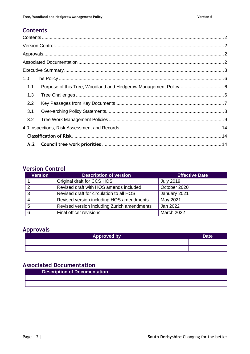# <span id="page-1-0"></span>**Contents**

| 1.0 |  |
|-----|--|
| 1.1 |  |
| 1.3 |  |
| 2.2 |  |
| 3.1 |  |
| 3.2 |  |
|     |  |
|     |  |
|     |  |

# <span id="page-1-1"></span>**Version Control**

| <b>Version</b> | <b>Description of version</b>               | <b>Effective Date</b> |
|----------------|---------------------------------------------|-----------------------|
|                | Original draft for CCS HOS                  | <b>July 2019</b>      |
| ົ              | Revised draft with HOS amends included      | October 2020          |
| 3              | Revised draft for circulation to all HOS    | January 2021          |
|                | Revised version including HOS amendments    | May 2021              |
| 5              | Revised version including Zurich amendments | Jan 2022              |
| 6              | Final officer revisions                     | <b>March 2022</b>     |

# <span id="page-1-2"></span>**Approvals**

| <b>Approved by</b> | Date <sup>'</sup> |
|--------------------|-------------------|
|                    |                   |
|                    |                   |

# <span id="page-1-3"></span>**Associated Documentation**

<span id="page-1-4"></span>

| <b>Description of Documentation</b> |  |
|-------------------------------------|--|
|                                     |  |
|                                     |  |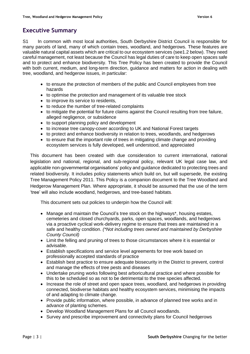# **Executive Summary**

S1 In common with most local authorities, South Derbyshire District Council is responsible for many parcels of land, many of which contain trees, woodland, and hedgerows. These features are valuable natural capital assets which are critical to our ecosystem services (see1.2 below). They need careful management, not least because the Council has legal duties of care to keep open spaces safe and to protect and enhance biodiversity. This Tree Policy has been created to provide the Council with both current, medium, and long-term direction, guidance and matters for action in dealing with tree, woodland, and hedgerow issues, in particular:

- to ensure the protection of members of the public and Council employees from tree hazards
- to optimise the protection and management of its valuable tree stock
- to improve its service to residents.
- to reduce the number of tree-related complaints
- to mitigate the potential for future claims against the Council resulting from tree failure, alleged negligence, or subsidence
- to support planning policy and development
- to increase tree canopy-cover according to UK and National Forest targets
- to protect and enhance biodiversity in relation to trees, woodlands, and hedgerows
- to ensure that the important role of trees in mitigating climate change and providing ecosystem services is fully developed, well understood, and appreciated

This document has been created with due consideration to current international, national legislation and national, regional, and sub-regional policy, relevant UK legal case law, and applicable non-governmental organisations' policy and guidance dedicated to protecting trees and related biodiversity. It includes policy statements which build on, but will supersede, the existing Tree Management Policy 2011. This Policy is a companion document to the Tree Woodland and Hedgerow Management Plan. Where appropriate, it should be assumed that the use of the term 'tree' will also include woodland, hedgerows, and tree-based habitats.

This document sets out policies to underpin how the Council will:

- Manage and maintain the Council's tree stock on the highways\*, housing estates, cemeteries and closed churchyards, parks, open spaces, woodlands, and hedgerows via a proactive cyclical work-delivery regime to ensure that trees are maintained in a safe and healthy condition. *(\*Not including trees owned and maintained by Derbyshire County Council)*
- Limit the felling and pruning of trees to those circumstances where it is essential or advisable.
- Establish specifications and service level agreements for tree work based on professionally accepted standards of practice
- Establish best practice to ensure adequate biosecurity in the District to prevent, control and manage the effects of tree pests and diseases
- Undertake pruning works following best arboricultural practice and where possible for this to be scheduled so as not to be detrimental to the tree species affected.
- Increase the role of street and open space trees, woodland, and hedgerows in providing connected, biodiverse habitats and healthy ecosystem services, minimising the impacts of and adapting to climate change.
- Provide public information, where possible, in advance of planned tree works and in advance of planting schemes.
- Develop Woodland Management Plans for all Council woodlands.
- Survey and prescribe improvement and connectivity plans for Council hedgerows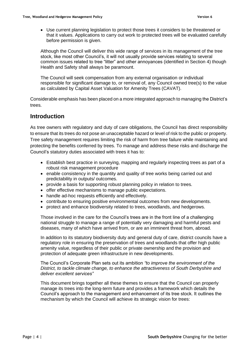• Use current planning legislation to protect those trees it considers to be threatened or that it values. Applications to carry out work to protected trees will be evaluated carefully before permission is given.

Although the Council will deliver this wide range of services in its management of the tree stock, like most other Council's, it will not usually provide services relating to several common issues related to tree "litter" and other annoyances (identified in Section 4) though Health and Safety shall always be paramount.

The Council will seek compensation from any external organisation or individual responsible for significant damage to, or removal of, any Council owned tree(s) to the value as calculated by Capital Asset Valuation for Amenity Trees (CAVAT).

Considerable emphasis has been placed on a more integrated approach to managing the District's trees.

## **Introduction**

As tree owners with regulatory and duty of care obligations, the Council has direct responsibility to ensure that its trees do not pose an unacceptable hazard or level of risk to the public or property. Tree safety management requires limiting the risk of harm from tree failure while maintaining and protecting the benefits conferred by trees. To manage and address these risks and discharge the Council's statutory duties associated with trees it has to:

- Establish best practice in surveying, mapping and regularly inspecting trees as part of a robust risk management procedure
- enable consistency in the quantity and quality of tree works being carried out and predictability in outputs/ outcomes.
- provide a basis for supporting robust planning policy in relation to trees.
- offer effective mechanisms to manage public expectations.
- handle ad-hoc requests efficiently and effectively.
- contribute to ensuring positive environmental outcomes from new developments.
- protect and enhance biodiversity related to trees, woodlands, and hedgerows.

Those involved in the care for the Council's trees are in the front line of a challenging national struggle to manage a range of potentially very damaging and harmful pests and diseases, many of which have arrived from, or are an imminent threat from, abroad.

In addition to its statutory biodiversity duty and general duty of care, district councils have a regulatory role in ensuring the preservation of trees and woodlands that offer high public amenity value, regardless of their public or private ownership and the provision and protection of adequate green infrastructure in new developments.

The Council's Corporate Plan sets out its ambition *"to improve the environment of the District, to tackle climate change, to enhance the attractiveness of South Derbyshire and deliver excellent services"*

This document brings together all these themes to ensure that the Council can properly manage its trees into the long-term future and provides a framework which details the Council's approach to the management and enhancement of its tree stock. It outlines the mechanism by which the Council will achieve its strategic vision for trees: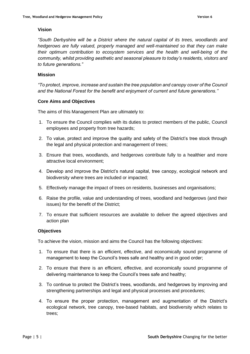## **Vision**

*"South Derbyshire will be a District where the natural capital of its trees, woodlands and hedgerows are fully valued, properly managed and well-maintained so that they can make their optimum contribution to ecosystem services and the health and well-being of the community, whilst providing aesthetic and seasonal pleasure to today's residents, visitors and to future generations."*

## **Mission**

*"To protect, improve, increase and sustain the tree population and canopy cover of the Council and the National Forest for the benefit and enjoyment of current and future generations.''*

## **Core Aims and Objectives**

The aims of this Management Plan are ultimately to:

- 1. To ensure the Council complies with its duties to protect members of the public, Council employees and property from tree hazards;
- 2. To value, protect and improve the quality and safety of the District's tree stock through the legal and physical protection and management of trees;
- 3. Ensure that trees, woodlands, and hedgerows contribute fully to a healthier and more attractive local environment;
- 4. Develop and improve the District's natural capital, tree canopy, ecological network and biodiversity where trees are included or impacted;
- 5. Effectively manage the impact of trees on residents, businesses and organisations;
- 6. Raise the profile, value and understanding of trees, woodland and hedgerows (and their issues) for the benefit of the District;
- 7. To ensure that sufficient resources are available to deliver the agreed objectives and action plan

## **Objectives**

To achieve the vision, mission and aims the Council has the following objectives:

- 1. To ensure that there is an efficient, effective, and economically sound programme of management to keep the Council's trees safe and healthy and in good order;
- 2. To ensure that there is an efficient, effective, and economically sound programme of delivering maintenance to keep the Council's trees safe and healthy;
- 3. To continue to protect the District's trees, woodlands, and hedgerows by improving and strengthening partnerships and legal and physical processes and procedures;
- 4. To ensure the proper protection, management and augmentation of the District's ecological network, tree canopy, tree-based habitats, and biodiversity which relates to trees;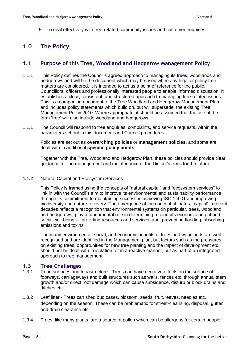5. To deal effectively with tree-related community issues and customer enquiries

# <span id="page-5-0"></span>**1.0 The Policy**

## <span id="page-5-1"></span>**1.1 Purpose of this Tree, Woodland and Hedgerow Management Policy**

- 1.1.1 This Policy defines the Council's agreed approach to managing its trees, woodlands and hedgerows and will be the document which may be used when any legal or policy tree matters are considered. It is intended to act as a point of reference for the public, Councillors, officers and professionally interested people to enable informed discussion. It establishes a clear, consistent, and structured approach to managing tree-related issues. This is a companion document to the Tree Woodland and Hedgerow Management Plan and includes policy statements which build on, but will supersede, the existing Tree Management Policy 2010. Where appropriate, it should be assumed that the use of the term 'tree' will also include woodland and hedgerows
- 1.1.1 The Council will respond to tree enquiries, complaints, and service requests, within the parameters set out in this document and Council procedures

Policies are set out as **overarching policies** or **management policies**, and some are dealt with in additional **specific policy points**

Together with the Tree, Woodland and Hedgerow Plan, these policies should provide clear guidance for the management and maintenance of the District's trees for the future

## **1.1.2** Natural Capital and Ecosystem Services

This Policy is framed using the concepts of "natural capital" and "ecosystem services" to link in with the Council's aim to improve its environmental and sustainability performance through its commitment to maintaining success in achieving ISO 14001 and improving biodiversity and nature recovery. The emergence of the concept of 'natural capital' in recent decades reflects a recognition that environmental systems (in particular, trees, woodland, and hedgerows) play a fundamental role in determining a council's economic output and social well-being — providing resources and services, and, preventing flooding, absorbing emissions and toxins.

The many environmental, social, and economic benefits of trees and woodlands are wellrecognised and are identified in the Management plan, but factors such as the pressures on existing trees, opportunities for new tree planting and the impact of development etc. should not be dealt with in isolation, or in a reactive manner, but as part of an integrated approach to tree management.

## <span id="page-5-2"></span>**1.3 Tree Challenges**

- 1.3.1 Road surfaces and Infrastructure Trees can have negative effects on the surface of footways, carriageways and built structures such as walls, fences etc. through annual stem growth and/or direct root damage which can cause subsidence, disturb or block drains and ditches etc.
- 1.3.2 Leaf litter Trees can shed bud cases, blossom, seeds, fruit, leaves, needles etc. depending on the season. These can be problematic for street-cleansing, disposal, gutter and drain clearance etc
- 1.3.4 Trees, like many plants, are a source of pollen which can be allergens for certain people.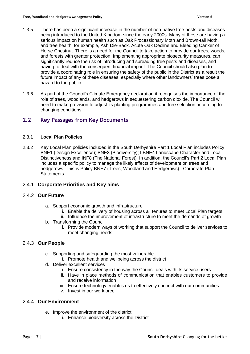- 1.3.5 There has been a significant increase in the number of non-native tree pests and diseases being introduced to the United Kingdom since the early 2000s. Many of these are having a serious impact on human health such as Oak Processionary Moth and Brown-tail Moth, and tree health, for example, Ash Die-Back, Acute Oak Decline and Bleeding Canker of Horse Chestnut. There is a need for the Council to take action to provide our trees, woods, and forests with greater protection. Implementing appropriate biosecurity measures, can significantly reduce the risk of introducing and spreading tree pests and diseases, and having to deal with the consequent financial impact. The Council should also plan to provide a coordinating role in ensuring the safety of the public in the District as a result the future impact of any of these diseases, especially where other landowners' trees pose a hazard to the public.
- 1.3.6 As part of the Council's Climate Emergency declaration it recognises the importance of the role of trees, woodlands, and hedgerows in sequestering carbon dioxide. The Council will need to make provision to adjust its planting programmes and tree selection according to changing conditions.

## <span id="page-6-0"></span>**2.2 Key Passages from Key Documents**

## 2.3.1 **Local Plan Policies**

2.3.2 Key Local Plan policies included in the South Derbyshire Part 1 Local Plan includes Policy BNE1 (Design Excellence); BNE3 (Biodiversity); LBNE4 Landscape Character and Local Distinctiveness and INF8 (The National Forest). In addition, the Council's Part 2 Local Plan includes a specific policy to manage the likely effects of development on trees and hedgerows. This is Policy BNE7 (Trees, Woodland and Hedgerows). Corporate Plan **Statements** 

## 2.4.1 **Corporate Priorities and Key aims**

## 2.4.2 **Our Future**

- a. Support economic growth and infrastructure
	- i. Enable the delivery of housing across all tenures to meet Local Plan targets
	- ii. Influence the improvement of infrastructure to meet the demands of growth
- b. Transforming the Council
	- i. Provide modern ways of working that support the Council to deliver services to meet changing needs

## 2.4.3 **Our People**

- c. Supporting and safeguarding the most vulnerable
	- i. Promote health and wellbeing across the district
- d. Deliver excellent services
	- i. Ensure consistency in the way the Council deals with its service users
	- ii. Have in place methods of communication that enables customers to provide and receive information
	- iii. Ensure technology enables us to effectively connect with our communities
	- iv. Invest in our workforce

## 2.4.4 **Our Environment**

- e. Improve the environment of the district
	- i. Enhance biodiversity across the District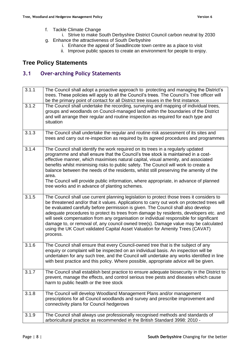- f. Tackle Climate Change
- i. Strive to make South Derbyshire District Council carbon neutral by 2030 g. Enhance the attractiveness of South Derbyshire
	- i. Enhance the appeal of Swadlincote town centre as a place to visit
	- ii. Improve public spaces to create an environment for people to enjoy.

# **Tree Policy Statements**

## <span id="page-7-0"></span>**3.1 Over-arching Policy Statements**

| 3.1.1 | The Council shall adopt a proactive approach to protecting and managing the District's<br>trees. These policies will apply to all the Council's trees. The Council's Tree officer will<br>be the primary point of contact for all District tree issues in the first instance.                                                                                                                                                                                                                                                                                                                                                                          |
|-------|--------------------------------------------------------------------------------------------------------------------------------------------------------------------------------------------------------------------------------------------------------------------------------------------------------------------------------------------------------------------------------------------------------------------------------------------------------------------------------------------------------------------------------------------------------------------------------------------------------------------------------------------------------|
| 3.1.2 | The Council shall undertake the recording, surveying and mapping of individual trees,<br>groups and woodlands on Council-managed land within the boundaries of the District<br>and will arrange their regular and routine inspection as required for each type and<br>situation                                                                                                                                                                                                                                                                                                                                                                        |
| 3.1.3 | The Council shall undertake the regular and routine risk assessment of its sites and<br>trees and carry out re-inspection as required by its agreed procedures and programmes                                                                                                                                                                                                                                                                                                                                                                                                                                                                          |
| 3.1.4 | The Council shall identify the work required on its trees in a regularly updated<br>programme and shall ensure that the Council's tree stock is maintained in a cost-<br>effective manner, which maximises natural capital, visual amenity, and associated<br>benefits whilst minimising risks to public safety. The Council will work to create a<br>balance between the needs of the residents, whilst still preserving the amenity of the<br>area.<br>The Council will provide public information, where appropriate, in advance of planned<br>tree works and in advance of planting schemes.                                                       |
| 3.1.5 | The Council shall use current planning legislation to protect those trees it considers to<br>be threatened and/or that it values. Applications to carry out work on protected trees will<br>be evaluated carefully before permission is given. The Council shall also develop<br>adequate procedures to protect its trees from damage by residents, developers etc. and<br>will seek compensation from any organisation or individual responsible for significant<br>damage to, or removal of, any council owned tree(s). Damage value may be calculated<br>using the UK Court validated Capital Asset Valuation for Amenity Trees (CAVAT)<br>process. |
| 3.1.6 | The Council shall ensure that every Council-owned tree that is the subject of any<br>enquiry or complaint will be inspected on an individual basis. An inspection will be<br>undertaken for any such tree, and the Council will undertake any works identified in line<br>with best practice and this policy. Where possible, appropriate advice will be given.                                                                                                                                                                                                                                                                                        |
| 3.1.7 | The Council shall establish best practice to ensure adequate biosecurity in the District to<br>prevent, manage the effects, and control serious tree pests and diseases which cause<br>harm to public health or the tree stock                                                                                                                                                                                                                                                                                                                                                                                                                         |
| 3.1.8 | The Council will develop Woodland Management Plans and/or management<br>prescriptions for all Council woodlands and survey and prescribe improvement and<br>connectivity plans for Council hedgerows                                                                                                                                                                                                                                                                                                                                                                                                                                                   |
| 3.1.9 | The Council shall always use professionally recognised methods and standards of<br>arboricultural practice as recommended in the British Standard 3998: 2010 -                                                                                                                                                                                                                                                                                                                                                                                                                                                                                         |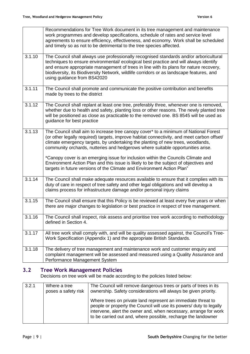|        | Recommendations for Tree Work document in its tree management and maintenance<br>work programmes and develop specifications, schedule of rates and service level<br>agreements to ensure efficiency, effectiveness, and economy. Work shall be scheduled<br>and timely so as not to be detrimental to the tree species affected.                                                                     |
|--------|------------------------------------------------------------------------------------------------------------------------------------------------------------------------------------------------------------------------------------------------------------------------------------------------------------------------------------------------------------------------------------------------------|
| 3.1.10 | The Council shall always use professionally recognised standards and/or arboricultural<br>techniques to ensure environmental/ ecological best practice and will always identify<br>and ensure appropriate management of trees in line with its plans for nature recovery,<br>biodiversity, its Biodiversity Network, wildlife corridors or as landscape features, and<br>using guidance from BS42020 |
| 3.1.11 | The Council shall promote and communicate the positive contribution and benefits<br>made by trees to the district                                                                                                                                                                                                                                                                                    |
| 3.1.12 | The Council shall replant at least one tree, preferably three, whenever one is removed,<br>whether due to health and safety, planting loss or other reasons. The newly planted tree<br>will be positioned as close as practicable to the removed one. BS 8545 will be used as<br>guidance for best practice                                                                                          |
| 3.1.13 | The Council shall aim to increase tree canopy cover* to a minimum of National Forest<br>(or other legally required) targets, improve habitat connectivity, and meet carbon offset/<br>climate emergency targets, by undertaking the planting of new trees, woodlands,<br>community orchards, nutteries and hedgerows where suitable opportunities arise.                                             |
|        | *Canopy cover is an emerging issue for inclusion within the Councils Climate and<br>Environment Action Plan and this issue is likely to be the subject of objectives and<br>targets in future versions of the Climate and Environment Action Plan"                                                                                                                                                   |
| 3.1.14 | The Council shall make adequate resources available to ensure that it complies with its<br>duty of care in respect of tree safety and other legal obligations and will develop a<br>claims process for infrastructure damage and/or personal injury claims                                                                                                                                           |
| 3.1.15 | The Council shall ensure that this Policy is be reviewed at least every five years or when<br>there are major changes to legislation or best practice in respect of tree management.                                                                                                                                                                                                                 |
| 3.1.16 | The Council shall inspect, risk assess and prioritise tree work according to methodology<br>defined in Section 4.                                                                                                                                                                                                                                                                                    |
| 3.1.17 | All tree work shall comply with, and will be quality assessed against, the Council's Tree-<br>Work Specification (Appendix 1) and the appropriate British Standards.                                                                                                                                                                                                                                 |
| 3.1.18 | The delivery of tree management and maintenance work and customer enquiry and<br>complaint management will be assessed and measured using a Quality Assurance and<br>Performance Management System                                                                                                                                                                                                   |

# <span id="page-8-0"></span>**3.2 Tree Work Management Policies**

Decisions on tree work will be made according to the policies listed below:

| 3.2.1 | Where a tree<br>poses a safety risk | The Council will remove dangerous trees or parts of trees in its<br>ownership. Safety considerations will always be given priority.                                                                                                                                      |
|-------|-------------------------------------|--------------------------------------------------------------------------------------------------------------------------------------------------------------------------------------------------------------------------------------------------------------------------|
|       |                                     | Where trees on private land represent an immediate threat to<br>people or property the Council will use its powers/ duty to legally<br>intervene, alert the owner and, when necessary, arrange for work<br>to be carried out and, where possible, recharge the landowner |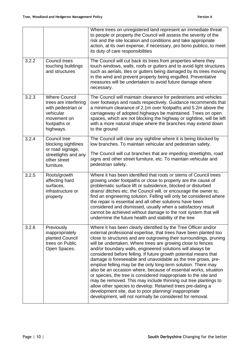|       |                                                                                                                              | Where trees on unregistered land represent an immediate threat<br>to people or property the Council will assess the severity of the<br>risk and the site location and conditions and take appropriate<br>action, at its own expense, if necessary, pro bono publico, to meet<br>its duty of care responsibilities                                                                                                                                                                                                                                                                                                                                                                                                                                                                                                                                                                                                                             |
|-------|------------------------------------------------------------------------------------------------------------------------------|-----------------------------------------------------------------------------------------------------------------------------------------------------------------------------------------------------------------------------------------------------------------------------------------------------------------------------------------------------------------------------------------------------------------------------------------------------------------------------------------------------------------------------------------------------------------------------------------------------------------------------------------------------------------------------------------------------------------------------------------------------------------------------------------------------------------------------------------------------------------------------------------------------------------------------------------------|
| 3.2.2 | <b>Council trees</b><br>touching buildings<br>and structures                                                                 | The Council will cut back its trees from properties where they<br>touch windows, walls, roofs or gutters and to avoid light structures<br>such as aerials, tiles or gutters being damaged by its trees moving<br>in the wind and prevent property being engulfed. Preventative<br>measures will be undertaken to avoid future damage where<br>necessary.                                                                                                                                                                                                                                                                                                                                                                                                                                                                                                                                                                                      |
| 3.2.3 | <b>Where Council</b><br>trees are interfering<br>with pedestrian or<br>vehicular<br>movement on<br>footpaths or<br>highways. | The Council will maintain clearance for pedestrians and vehicles<br>over footways and roads respectively. Guidance recommends that<br>a minimum clearance of 2.1m over footpaths and 5.2m above the<br>carriageway of adopted highways be maintained. Trees on open<br>spaces, which are not blocking the highway or sightline, will be left<br>with a more natural shape where the branches may extend down<br>to the ground                                                                                                                                                                                                                                                                                                                                                                                                                                                                                                                 |
| 3.2.4 | Council tree<br>blocking sightlines<br>or road signage,<br>streetlights and any<br>other street<br>furniture.                | The Council will clear any sightline where it is being blocked by<br>low branches. To maintain vehicular and pedestrian safety.<br>The Council will cut branches that are impeding streetlights, road<br>signs and other street furniture, etc. To maintain vehicular and<br>pedestrian safety.                                                                                                                                                                                                                                                                                                                                                                                                                                                                                                                                                                                                                                               |
| 3.2.5 | Roots/growth<br>affecting hard<br>surfaces,<br>infrastructure or<br>property                                                 | Where it has been identified that roots or stems of Council trees<br>growing under footpaths or close to property are the cause of<br>problematic surface lift or subsidence, blocked or disturbed<br>drains/ ditches etc. the Council will, or encourage the owner to,<br>find an engineering solution. Felling will only be considered where<br>the repair is essential and all other solutions have been<br>considered and dismissed, usually when a satisfactory result<br>cannot be achieved without damage to the root system that will<br>undermine the future health and stability of the tree                                                                                                                                                                                                                                                                                                                                        |
| 3.2.6 | Previously<br>inappropriately<br>planted Council<br>trees on Public<br>Open Spaces.                                          | Where it has been clearly identified by the Tree Officer and/or<br>external professional expertise, that trees have been planted too<br>close to structures and are outgrowing their surroundings, pruning<br>will be undertaken. Where trees are growing close to fences<br>and/or boundary walls, engineered solutions will always be<br>considered before felling. If future growth potential means that<br>damage is foreseeable and unavoidable as the tree grows, pre-<br>emptive felling may be the only long-term solution. There may<br>also be an occasion where, because of essential works, situation<br>or species, the tree is considered inappropriate to the site and<br>may be removed. This may include thinning out tree plantings to<br>allow other species to develop. Retained trees pre-dating a<br>development site, due to poor planning/ inappropriate<br>development, will not normally be considered for removal. |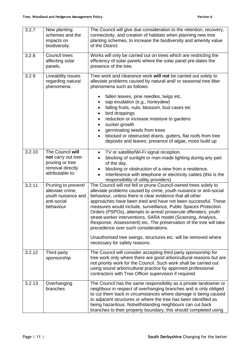| 3.2.7  | New planting<br>schemes and the<br>impacts on<br>biodiversity.                                     | The Council will give due consideration to the retention, recovery,<br>connectivity, and creation of habitats when planning new tree<br>planting schemes, to increase the biodiversity and amenity value<br>of the District.                                                                                                                                                                                                                                                                                                                                                                                                                                                             |
|--------|----------------------------------------------------------------------------------------------------|------------------------------------------------------------------------------------------------------------------------------------------------------------------------------------------------------------------------------------------------------------------------------------------------------------------------------------------------------------------------------------------------------------------------------------------------------------------------------------------------------------------------------------------------------------------------------------------------------------------------------------------------------------------------------------------|
| 3.2.8  | Council trees<br>affecting solar<br>panels.                                                        | Works will only be carried out on trees which are restricting the<br>efficiency of solar panels where the solar panel pre-dates the<br>presence of the tree.                                                                                                                                                                                                                                                                                                                                                                                                                                                                                                                             |
| 3.2.9  | Liveability issues<br>regarding natural<br>phenomena.                                              | Tree work and clearance work will not be carried out solely to<br>alleviate problems caused by natural and/ or seasonal tree litter<br>phenomena such as follows:<br>fallen leaves, pine needles, twigs etc.<br>sap exudation (e.g., honeydew)<br>falling fruits, nuts, blossom, bud cases etc<br>bird droppings<br>reduction or increase moisture to gardens<br>sucker growth<br>germinating seeds from trees<br>blocked or obstructed drains, gutters, flat roofs from tree<br>deposits and leaves; presence of algae, moss build up                                                                                                                                                   |
| 3.2.10 | The Council will<br>not carry out tree-<br>pruning or tree<br>removal directly<br>attributable to: | TV or satellite/Wi-Fi signal reception.<br>$\bullet$<br>blocking of sunlight or man-made lighting during any part<br>of the day.<br>blocking or obstruction of a view from a residence.<br>Interference with telephone or electricity cables (this is the<br>responsibility of utility providers)                                                                                                                                                                                                                                                                                                                                                                                        |
| 3.2.11 | Pruning to prevent/<br>alleviate crime,<br>youth nuisance and<br>anti-social<br>behaviour          | The Council will not fell or prune Council-owned trees solely to<br>alleviate problems caused by crime, youth nuisance or anti-social<br>behaviour, unless there is clear evidence that all other<br>approaches have been tried and have not been successful. These<br>measures would include, surveillance, Public Spaces Protection<br>Orders (PSPOs), attempts to arrest/ prosecute offenders, youth<br>street-worker interventions, SARA model (Scanning, Analysis,<br>Response, Assessment) etc. The preservation of the tree will take<br>precedence over such considerations.<br>Unauthorised tree swings, structures etc. will be removed where<br>necessary for safety reasons. |
| 3.2.12 | Third party<br>sponsorship                                                                         | The Council will consider accepting third party sponsorship for<br>tree work only where there are good arboricultural reasons but are<br>not priority work for the Council. Such work shall be carried out<br>using sound arboricultural practice by approved professional<br>contractors with Tree Officer supervision if required.                                                                                                                                                                                                                                                                                                                                                     |
| 3.2.13 | Overhanging<br>branches                                                                            | The Council has the same responsibility as a private landowner or<br>neighbour in respect of overhanging branches and is only obliged<br>to cut them back in circumstances where damage is being caused<br>to adjacent structures or where the tree has been identified as<br>being hazardous. Notwithstanding neighbours can cut back<br>branches to their property boundary, this should completed using                                                                                                                                                                                                                                                                               |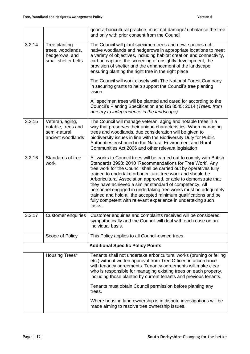|        |                                                                                 | good arboricultural practice, must not damage/ unbalance the tree<br>and only with prior consent from the Council                                                                                                                                                                                                                                                                                                                                                                                                                                                                                                      |  |
|--------|---------------------------------------------------------------------------------|------------------------------------------------------------------------------------------------------------------------------------------------------------------------------------------------------------------------------------------------------------------------------------------------------------------------------------------------------------------------------------------------------------------------------------------------------------------------------------------------------------------------------------------------------------------------------------------------------------------------|--|
| 3.2.14 | Tree planting $-$<br>trees, woodlands,<br>hedgerows, and<br>small shelter belts | The Council will plant specimen trees and new, species rich,<br>native woodlands and hedgerows in appropriate locations to meet<br>a variety of objectives, including habitat creation and connectivity,<br>carbon capture, the screening of unsightly development, the<br>provision of shelter and the enhancement of the landscape<br>ensuring planting the right tree in the right place                                                                                                                                                                                                                            |  |
|        |                                                                                 | The Council will work closely with The National Forest Company<br>in securing grants to help support the Council's tree planting<br>vision                                                                                                                                                                                                                                                                                                                                                                                                                                                                             |  |
|        |                                                                                 | All specimen trees will be planted and cared for according to the<br>Council's Planting Specification and BS 8545: 2014 (Trees: from<br>nursery to independence in the landscape)                                                                                                                                                                                                                                                                                                                                                                                                                                      |  |
| 3.2.15 | Veteran, aging,<br>notable, trees and<br>semi-natural<br>ancient woodlands      | The Council will manage veteran, aging and notable trees in a<br>way that preserves their unique characteristics. When managing<br>trees and woodlands, due consideration will be given to<br>biodiversity issues in line with the Biodiversity Duty for Public<br>Authorities enshrined in the Natural Environment and Rural<br>Communities Act 2006 and other relevant legislation                                                                                                                                                                                                                                   |  |
| 3.2.16 | Standards of tree<br>work                                                       | All works to Council trees will be carried out to comply with British<br>Standards 3998: 2010 'Recommendations for Tree Work'. Any<br>tree work for the Council shall be carried out by operatives fully<br>trained to undertake arboricultural tree work and should be<br>Arboricultural Association approved, or able to demonstrate that<br>they have achieved a similar standard of competency. All<br>personnel engaged in undertaking tree works must be adequately<br>trained and hold all the accepted minimum qualifications and be<br>fully competent with relevant experience in undertaking such<br>tasks. |  |
| 3.2.17 | Customer enquiries                                                              | Customer enquiries and complaints received will be considered<br>sympathetically and the Council will deal with each case on an<br>individual basis.                                                                                                                                                                                                                                                                                                                                                                                                                                                                   |  |
|        | Scope of Policy                                                                 | This Policy applies to all Council-owned trees                                                                                                                                                                                                                                                                                                                                                                                                                                                                                                                                                                         |  |
|        | <b>Additional Specific Policy Points</b>                                        |                                                                                                                                                                                                                                                                                                                                                                                                                                                                                                                                                                                                                        |  |
|        | Housing Trees*                                                                  | Tenants shall not undertake arboricultural works (pruning or felling<br>etc.) without written approval from Tree Officer, in accordance<br>with tenancy agreements. Tenancy agreements will make clear<br>who is responsible for managing existing trees on each property,<br>including those planted by current tenants and previous tenants.                                                                                                                                                                                                                                                                         |  |
|        |                                                                                 | Tenants must obtain Council permission before planting any<br>trees.                                                                                                                                                                                                                                                                                                                                                                                                                                                                                                                                                   |  |
|        |                                                                                 | Where housing land ownership is in dispute investigations will be<br>made aiming to resolve tree ownership issues.                                                                                                                                                                                                                                                                                                                                                                                                                                                                                                     |  |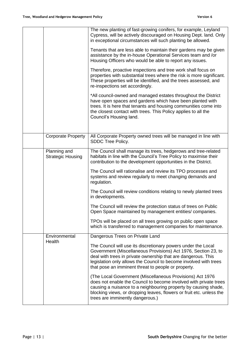|                                          | The new planting of fast-growing conifers, for example, Leyland<br>Cypress, will be actively discouraged on Housing Dept. land. Only<br>in exceptional circumstances will such planting be allowed.                                                                                                                          |
|------------------------------------------|------------------------------------------------------------------------------------------------------------------------------------------------------------------------------------------------------------------------------------------------------------------------------------------------------------------------------|
|                                          | Tenants that are less able to maintain their gardens may be given<br>assistance by the in-house Operational Services team and /or<br>Housing Officers who would be able to report any issues.                                                                                                                                |
|                                          | Therefore, proactive inspections and tree work shall focus on<br>properties with substantial trees where the risk is more significant.<br>These properties will be identified, and the trees assessed, and<br>re-inspections set accordingly.                                                                                |
|                                          | *All council-owned and managed estates throughout the District<br>have open spaces and gardens which have been planted with<br>trees. It is here that tenants and housing communities come into<br>the closest contact with trees. This Policy applies to all the<br>Council's Housing land.                                 |
| <b>Corporate Property</b>                | All Corporate Property owned trees will be managed in line with<br>SDDC Tree Policy.                                                                                                                                                                                                                                         |
| Planning and<br><b>Strategic Housing</b> | The Council shall manage its trees, hedgerows and tree-related<br>habitats in line with the Council's Tree Policy to maximise their<br>contribution to the development opportunities in the District.                                                                                                                        |
|                                          | The Council will rationalise and review its TPO processes and<br>systems and review regularly to meet changing demands and<br>regulation.                                                                                                                                                                                    |
|                                          | The Council will review conditions relating to newly planted trees<br>in developments.                                                                                                                                                                                                                                       |
|                                          | The Council will review the protection status of trees on Public<br>Open Space maintained by management entities/companies.                                                                                                                                                                                                  |
|                                          | TPOs will be placed on all trees growing on public open space<br>which is transferred to management companies for maintenance.                                                                                                                                                                                               |
| Environmental<br>Health                  | Dangerous Trees on Private Land                                                                                                                                                                                                                                                                                              |
|                                          | The Council will use its discretionary powers under the Local<br>Government (Miscellaneous Provisions) Act 1976, Section 23, to<br>deal with trees in private ownership that are dangerous. This<br>legislation only allows the Council to become involved with trees<br>that pose an imminent threat to people or property. |
|                                          | (The Local Government (Miscellaneous Provisions) Act 1976<br>does not enable the Council to become involved with private trees<br>causing a nuisance to a neighbouring property by causing shade,<br>blocking views, or dropping leaves, flowers or fruit etc. unless the<br>trees are imminently dangerous.)                |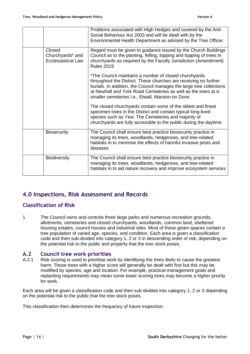|                                                         | Problems associated with High Hedges and covered by the Anti-<br>Social Behaviour Act 2003 and will be dealt with by the<br>Environmental Health Department as advised by the Tree Officer.                                                                                                                              |
|---------------------------------------------------------|--------------------------------------------------------------------------------------------------------------------------------------------------------------------------------------------------------------------------------------------------------------------------------------------------------------------------|
| Closed<br>Churchyards* and<br><b>Ecclesiastical Law</b> | Regard must be given to guidance issued by the Church Buildings<br>Council as to the planting, felling, lopping and topping of trees in<br>churchyards as required by the Faculty Jurisdiction (Amendment)<br><b>Rules 2019</b>                                                                                          |
|                                                         | *The Council maintains a number of closed churchyards<br>throughout the District. These churches are receiving no further<br>burials. In addition, the Council manages the large tree collections<br>at Newhall and York Road Cemeteries as well as the trees at is<br>smaller cemeteries i.e., Etwall, Marston on Dove. |
|                                                         | The closed churchyards contain some of the oldest and finest<br>specimen trees in the District and contain typical long-lived<br>species such as Yew. The Cemeteries and majority of<br>churchyards are fully accessible to the public during the daytime.                                                               |
| <b>Biosecurity</b>                                      | The Council shall ensure best practice biosecurity practice in<br>managing its trees, woodlands, hedgerows, and tree-related<br>habitats in to minimise the effects of harmful invasive pests and<br>diseases                                                                                                            |
| <b>Biodiversity</b>                                     | The Council shall ensure best practice biosecurity practice in<br>managing its trees, woodlands, hedgerows, and tree-related<br>habitats in to aid nature recovery and improve ecosystem services                                                                                                                        |

# <span id="page-13-0"></span>**4.0 Inspections, Risk Assessment and Records**

## <span id="page-13-1"></span>**Classification of Risk**

1 The Council owns and controls three large parks and numerous recreation grounds, allotments, cemeteries and closed churchyards, woodlands, common land, sheltered housing estates, council houses and industrial sites. Most of these green spaces contain a tree population of varied age, species, and condition. Each area is given a classification code and then sub-divided into category 1, 2 or 3 in descending order of risk, depending on the potential risk to the public and property that the tree stock poses.

## <span id="page-13-2"></span>**A.2 Council tree work priorities**

A.2.1 Risk scoring is used to prioritise work by identifying the trees likely to cause the greatest harm. Those trees with a higher score will generally be dealt with first but this may be modified by species, age and location. For example, practical management goals and replanting requirements may mean some lower scoring trees may become a higher priority for work.

Each area will be given a classification code and then sub divided into category 1, 2 or 3 depending on the potential risk to the public that the tree stock poses.

This classification then determines the frequency of future inspection.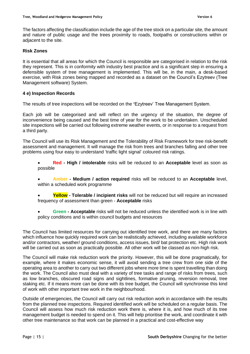The factors affecting the classification include the age of the tree stock on a particular site, the amount and nature of public usage and the trees proximity to roads, footpaths or constructions within or adjacent to the site.

## **Risk Zones**

It is essential that all areas for which the Council is responsible are categorised in relation to the risk they represent. This is in conformity with industry best practice and is a significant step in ensuring a defensible system of tree management is implemented. This will be, in the main, a desk-based exercise, with Risk zones being mapped and recorded as a dataset on the Council's Ezytreev (Tree Management software) System.

#### **4 e) Inspection Records**

The results of tree inspections will be recorded on the **'**Ezytreev' Tree Management System.

Each job will be categorised and will reflect on the urgency of the situation, the degree of inconvenience being caused and the best time of year for the work to be undertaken. Unscheduled site inspections will be carried out following extreme weather events, or in response to a request from a third party.

The Council will use its Risk Management and the Tolerability of Risk Framework for tree risk-benefit assessment and management. It will manage the risk from trees and branches falling and other tree problems using four easy to understand 'traffic light signal' coloured risk ratings.

• **Red - High / intolerable** risks will be reduced to an **Acceptable** level as soon as possible

- **Amber - Medium / action required** risks will be reduced to an **Acceptable** level, within a scheduled work programme
- **Yellow - Tolerable / incipient risks** will not be reduced but will require an increased frequency of assessment than green - **Acceptable** risks
- **Green - Acceptable** risks will not be reduced unless the identified work is in line with policy conditions and is within council budgets and resources

The Council has limited resources for carrying out identified tree work, and there are many factors which influence how quickly required work can be realistically achieved, including available workforce and/or contractors, weather/ ground conditions, access issues, bird/ bat protection etc. High risk work will be carried out as soon as practically possible. All other work will be classed as non-high risk.

The Council will make risk reduction work the priority. However, this will be done pragmatically, for example, where it makes economic sense, it will avoid sending a tree crew from one side of the operating area to another to carry out two different jobs where more time is spent travelling than doing the work. The Council also must deal with a variety of tree tasks and range of risks from trees, such as low branches, obscured road signs and sightlines, formative pruning, reversion removal, tree staking etc. If it means more can be done with its tree budget, the Council will synchronise this kind of work with other important tree work in the neighbourhood.

Outside of emergencies, the Council will carry out risk reduction work in accordance with the results from the planned tree inspections. Required identified work will be scheduled on a regular basis. The Council will assess how much risk reduction work there is, where it is, and how much of its tree management budget is needed to spend on it. This will help prioritise the work, and coordinate it with other tree maintenance so that work can be planned in a practical and cost-effective way